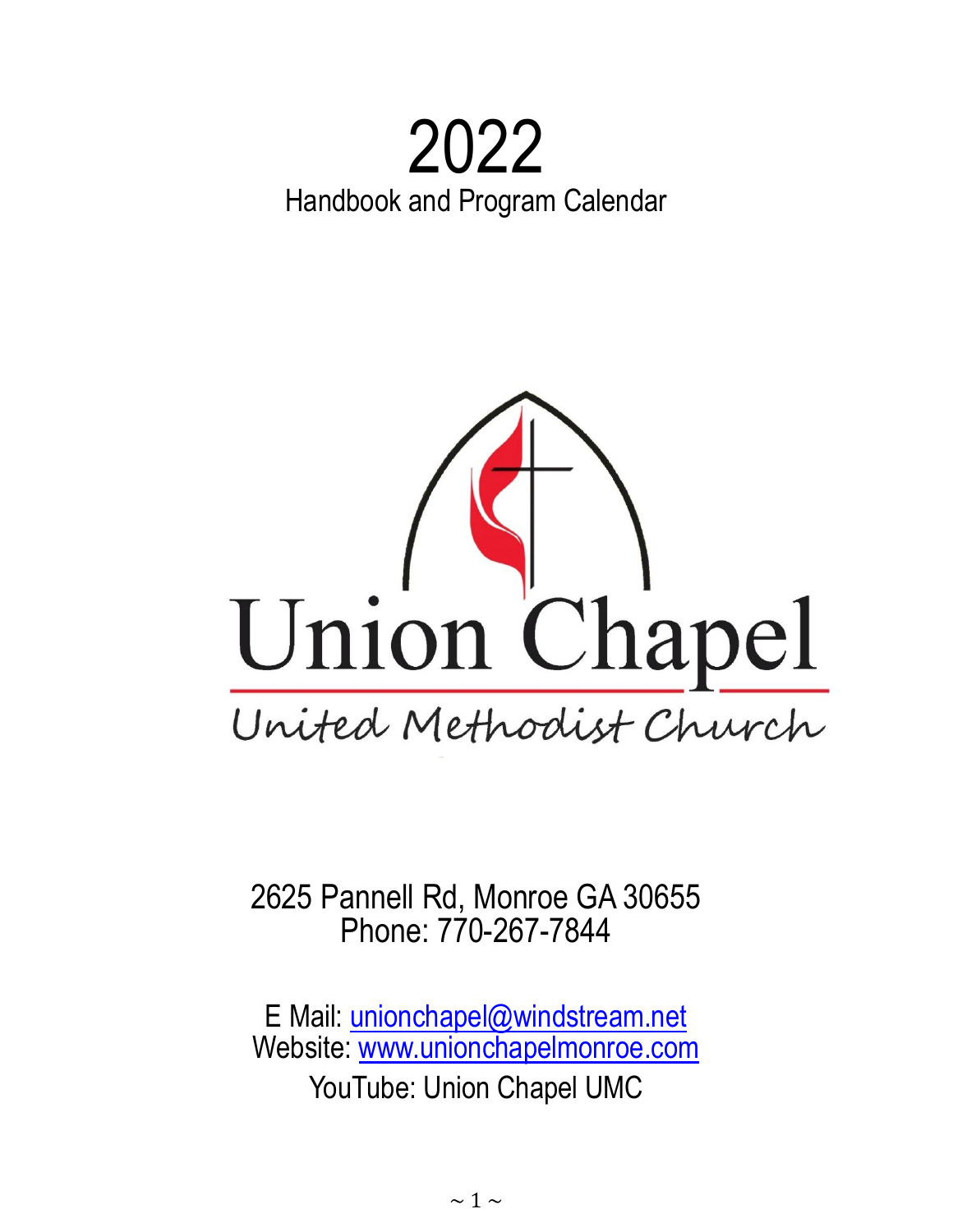# 2022 Handbook and Program Calendar



2625 Pannell Rd, Monroe GA 30655 Phone: 770-267-7844

E Mail: [unionchapel@windstream.net](mailto:unionchapel@windstream.net) Website: [www.unionchapelmonroe.com](http://www.unionchapelmonroe.com/) YouTube: Union Chapel UMC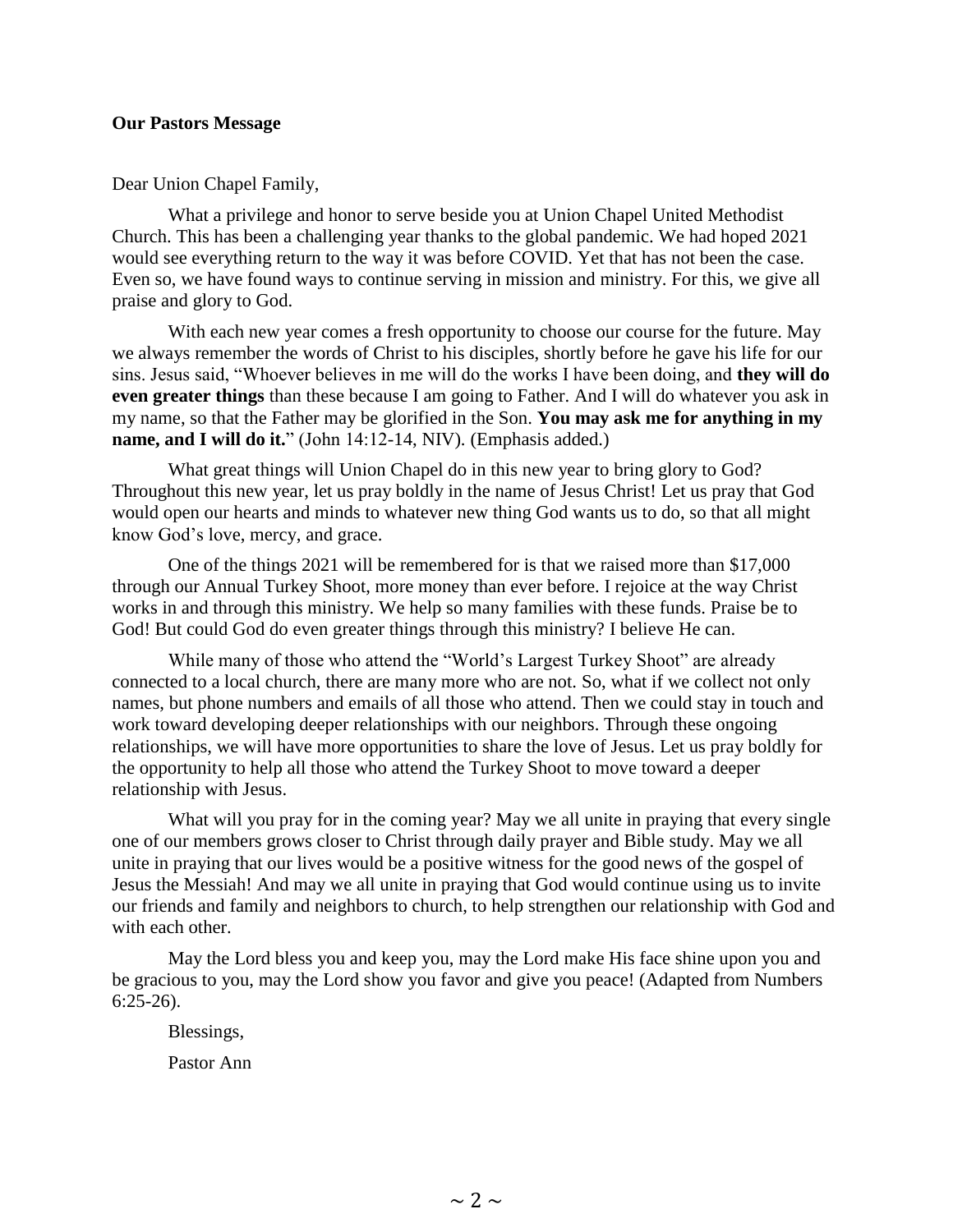#### **Our Pastors Message**

Dear Union Chapel Family,

What a privilege and honor to serve beside you at Union Chapel United Methodist Church. This has been a challenging year thanks to the global pandemic. We had hoped 2021 would see everything return to the way it was before COVID. Yet that has not been the case. Even so, we have found ways to continue serving in mission and ministry. For this, we give all praise and glory to God.

With each new year comes a fresh opportunity to choose our course for the future. May we always remember the words of Christ to his disciples, shortly before he gave his life for our sins. Jesus said, "Whoever believes in me will do the works I have been doing, and **they will do even greater things** than these because I am going to Father. And I will do whatever you ask in my name, so that the Father may be glorified in the Son. **You may ask me for anything in my name, and I will do it.**" (John 14:12-14, NIV). (Emphasis added.)

What great things will Union Chapel do in this new year to bring glory to God? Throughout this new year, let us pray boldly in the name of Jesus Christ! Let us pray that God would open our hearts and minds to whatever new thing God wants us to do, so that all might know God's love, mercy, and grace.

One of the things 2021 will be remembered for is that we raised more than \$17,000 through our Annual Turkey Shoot, more money than ever before. I rejoice at the way Christ works in and through this ministry. We help so many families with these funds. Praise be to God! But could God do even greater things through this ministry? I believe He can.

While many of those who attend the "World's Largest Turkey Shoot" are already connected to a local church, there are many more who are not. So, what if we collect not only names, but phone numbers and emails of all those who attend. Then we could stay in touch and work toward developing deeper relationships with our neighbors. Through these ongoing relationships, we will have more opportunities to share the love of Jesus. Let us pray boldly for the opportunity to help all those who attend the Turkey Shoot to move toward a deeper relationship with Jesus.

What will you pray for in the coming year? May we all unite in praying that every single one of our members grows closer to Christ through daily prayer and Bible study. May we all unite in praying that our lives would be a positive witness for the good news of the gospel of Jesus the Messiah! And may we all unite in praying that God would continue using us to invite our friends and family and neighbors to church, to help strengthen our relationship with God and with each other.

May the Lord bless you and keep you, may the Lord make His face shine upon you and be gracious to you, may the Lord show you favor and give you peace! (Adapted from Numbers 6:25-26).

Blessings,

Pastor Ann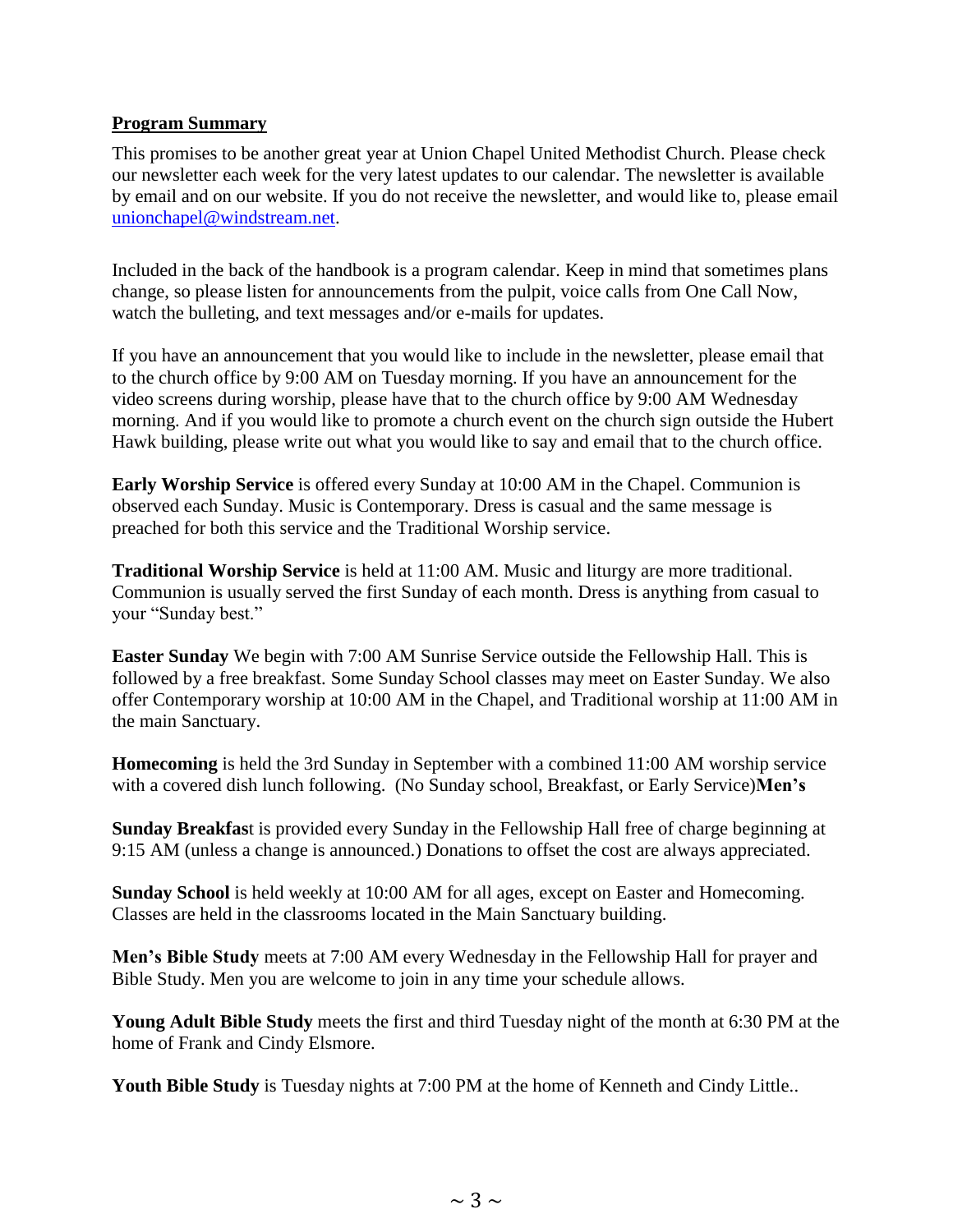## **Program Summary**

This promises to be another great year at Union Chapel United Methodist Church. Please check our newsletter each week for the very latest updates to our calendar. The newsletter is available by email and on our website. If you do not receive the newsletter, and would like to, please email [unionchapel@windstream.net.](mailto:unionchapel@windstream.net)

Included in the back of the handbook is a program calendar. Keep in mind that sometimes plans change, so please listen for announcements from the pulpit, voice calls from One Call Now, watch the bulleting, and text messages and/or e-mails for updates.

If you have an announcement that you would like to include in the newsletter, please email that to the church office by 9:00 AM on Tuesday morning. If you have an announcement for the video screens during worship, please have that to the church office by 9:00 AM Wednesday morning. And if you would like to promote a church event on the church sign outside the Hubert Hawk building, please write out what you would like to say and email that to the church office.

**Early Worship Service** is offered every Sunday at 10:00 AM in the Chapel. Communion is observed each Sunday. Music is Contemporary. Dress is casual and the same message is preached for both this service and the Traditional Worship service.

**Traditional Worship Service** is held at 11:00 AM. Music and liturgy are more traditional. Communion is usually served the first Sunday of each month. Dress is anything from casual to your "Sunday best."

**Easter Sunday** We begin with 7:00 AM Sunrise Service outside the Fellowship Hall. This is followed by a free breakfast. Some Sunday School classes may meet on Easter Sunday. We also offer Contemporary worship at 10:00 AM in the Chapel, and Traditional worship at 11:00 AM in the main Sanctuary.

**Homecoming** is held the 3rd Sunday in September with a combined 11:00 AM worship service with a covered dish lunch following. (No Sunday school, Breakfast, or Early Service)**Men's** 

**Sunday Breakfas**t is provided every Sunday in the Fellowship Hall free of charge beginning at 9:15 AM (unless a change is announced.) Donations to offset the cost are always appreciated.

**Sunday School** is held weekly at 10:00 AM for all ages, except on Easter and Homecoming. Classes are held in the classrooms located in the Main Sanctuary building.

**Men's Bible Study** meets at 7:00 AM every Wednesday in the Fellowship Hall for prayer and Bible Study. Men you are welcome to join in any time your schedule allows.

**Young Adult Bible Study** meets the first and third Tuesday night of the month at 6:30 PM at the home of Frank and Cindy Elsmore.

**Youth Bible Study** is Tuesday nights at 7:00 PM at the home of Kenneth and Cindy Little..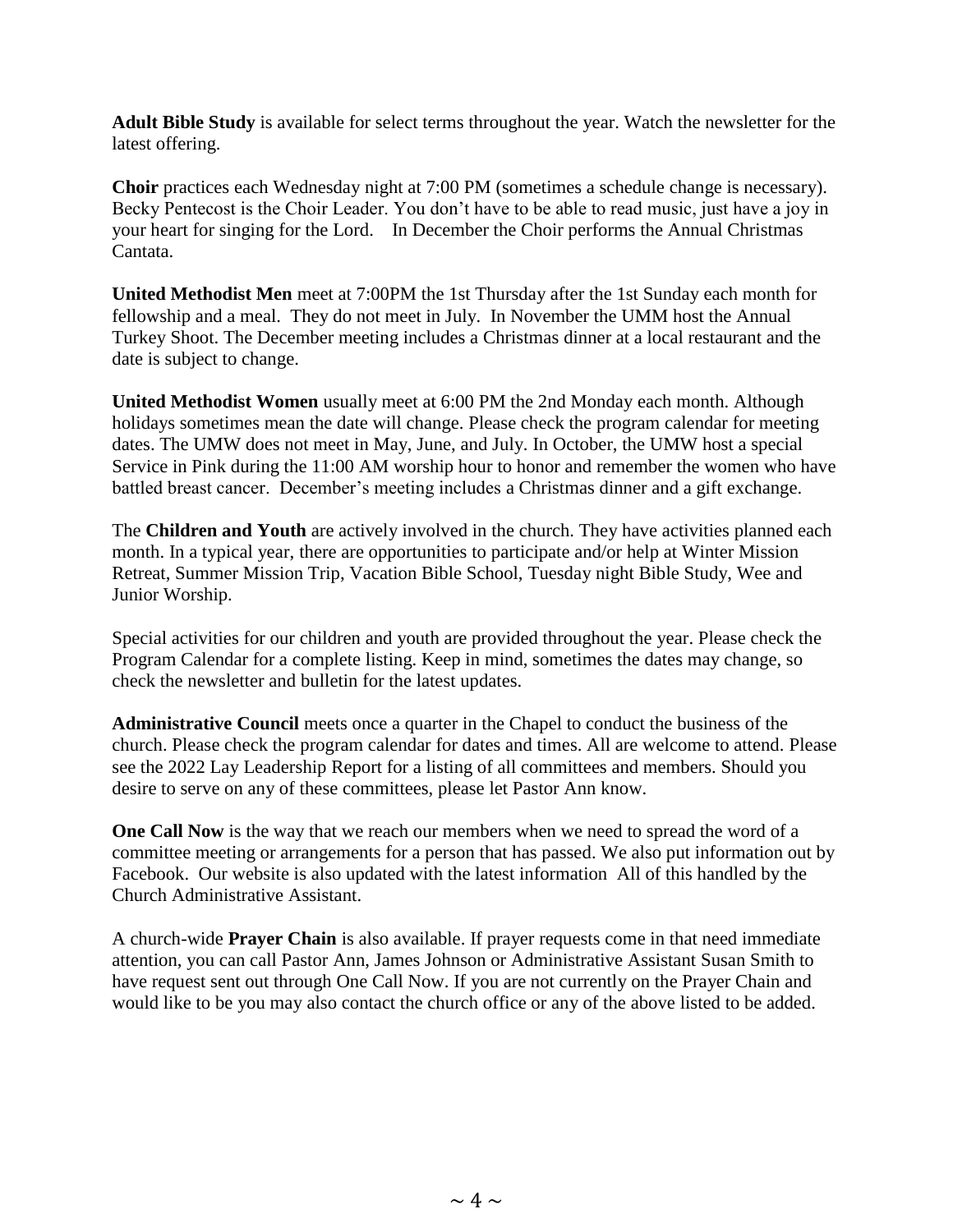**Adult Bible Study** is available for select terms throughout the year. Watch the newsletter for the latest offering.

**Choir** practices each Wednesday night at 7:00 PM (sometimes a schedule change is necessary). Becky Pentecost is the Choir Leader. You don't have to be able to read music, just have a joy in your heart for singing for the Lord. In December the Choir performs the Annual Christmas Cantata.

**United Methodist Men** meet at 7:00PM the 1st Thursday after the 1st Sunday each month for fellowship and a meal. They do not meet in July. In November the UMM host the Annual Turkey Shoot. The December meeting includes a Christmas dinner at a local restaurant and the date is subject to change.

**United Methodist Women** usually meet at 6:00 PM the 2nd Monday each month. Although holidays sometimes mean the date will change. Please check the program calendar for meeting dates. The UMW does not meet in May, June, and July. In October, the UMW host a special Service in Pink during the 11:00 AM worship hour to honor and remember the women who have battled breast cancer. December's meeting includes a Christmas dinner and a gift exchange.

The **Children and Youth** are actively involved in the church. They have activities planned each month. In a typical year, there are opportunities to participate and/or help at Winter Mission Retreat, Summer Mission Trip, Vacation Bible School, Tuesday night Bible Study, Wee and Junior Worship.

Special activities for our children and youth are provided throughout the year. Please check the Program Calendar for a complete listing. Keep in mind, sometimes the dates may change, so check the newsletter and bulletin for the latest updates.

**Administrative Council** meets once a quarter in the Chapel to conduct the business of the church. Please check the program calendar for dates and times. All are welcome to attend. Please see the 2022 Lay Leadership Report for a listing of all committees and members. Should you desire to serve on any of these committees, please let Pastor Ann know.

**One Call Now** is the way that we reach our members when we need to spread the word of a committee meeting or arrangements for a person that has passed. We also put information out by Facebook. Our website is also updated with the latest information All of this handled by the Church Administrative Assistant.

A church-wide **Prayer Chain** is also available. If prayer requests come in that need immediate attention, you can call Pastor Ann, James Johnson or Administrative Assistant Susan Smith to have request sent out through One Call Now. If you are not currently on the Prayer Chain and would like to be you may also contact the church office or any of the above listed to be added.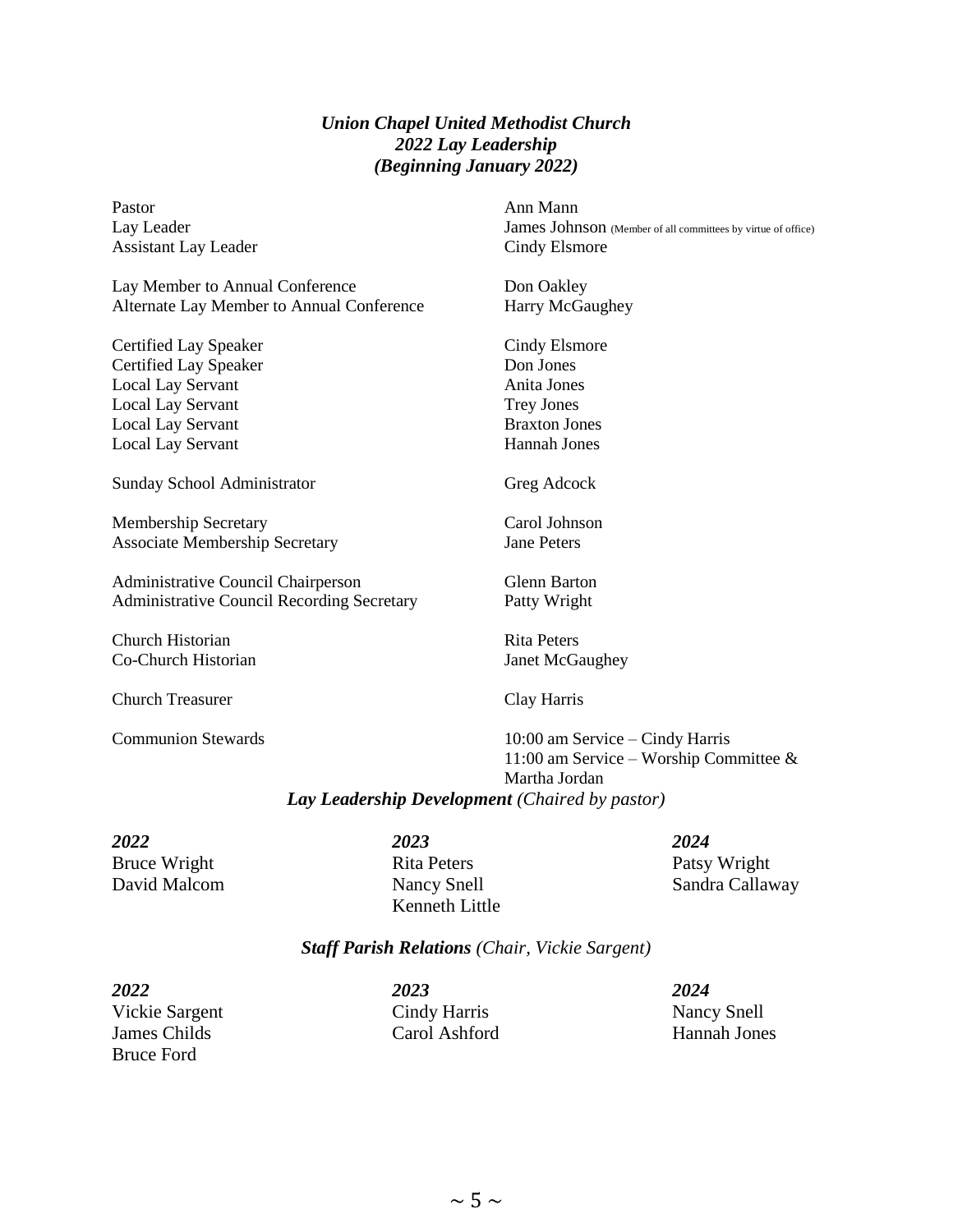## *Union Chapel United Methodist Church 2022 Lay Leadership (Beginning January 2022)*

| Pastor                                            | Ann Mann                                                                  |
|---------------------------------------------------|---------------------------------------------------------------------------|
| Lay Leader                                        | James Johnson (Member of all committees by virtue of office)              |
| <b>Assistant Lay Leader</b>                       | Cindy Elsmore                                                             |
| Lay Member to Annual Conference                   | Don Oakley                                                                |
| Alternate Lay Member to Annual Conference         | Harry McGaughey                                                           |
| <b>Certified Lay Speaker</b>                      | Cindy Elsmore                                                             |
| <b>Certified Lay Speaker</b>                      | Don Jones                                                                 |
| <b>Local Lay Servant</b>                          | Anita Jones                                                               |
| <b>Local Lay Servant</b>                          | <b>Trey Jones</b>                                                         |
| <b>Local Lay Servant</b>                          | <b>Braxton Jones</b>                                                      |
| <b>Local Lay Servant</b>                          | Hannah Jones                                                              |
| <b>Sunday School Administrator</b>                | Greg Adcock                                                               |
| <b>Membership Secretary</b>                       | Carol Johnson                                                             |
| <b>Associate Membership Secretary</b>             | <b>Jane Peters</b>                                                        |
| <b>Administrative Council Chairperson</b>         | <b>Glenn Barton</b>                                                       |
| <b>Administrative Council Recording Secretary</b> | Patty Wright                                                              |
| Church Historian                                  | <b>Rita Peters</b>                                                        |
| Co-Church Historian                               | Janet McGaughey                                                           |
| <b>Church Treasurer</b>                           | Clay Harris                                                               |
| <b>Communion Stewards</b>                         | 10:00 am Service – Cindy Harris<br>11:00 am Service – Worship Committee & |
|                                                   | Martha Jordan                                                             |
|                                                   |                                                                           |
| Lay Leadership Development (Chaired by pastor)    |                                                                           |
|                                                   |                                                                           |

Bruce Wright Rita Peters Patsy Wright

*2022 2023 2024* Kenneth Little

David Malcom Nancy Snell Sandra Callaway

## *Staff Parish Relations (Chair, Vickie Sargent)*

*2022 2023 2024* Vickie Sargent Cindy Harris Nancy Snell James Childs Carol Ashford Hannah Jones Bruce Ford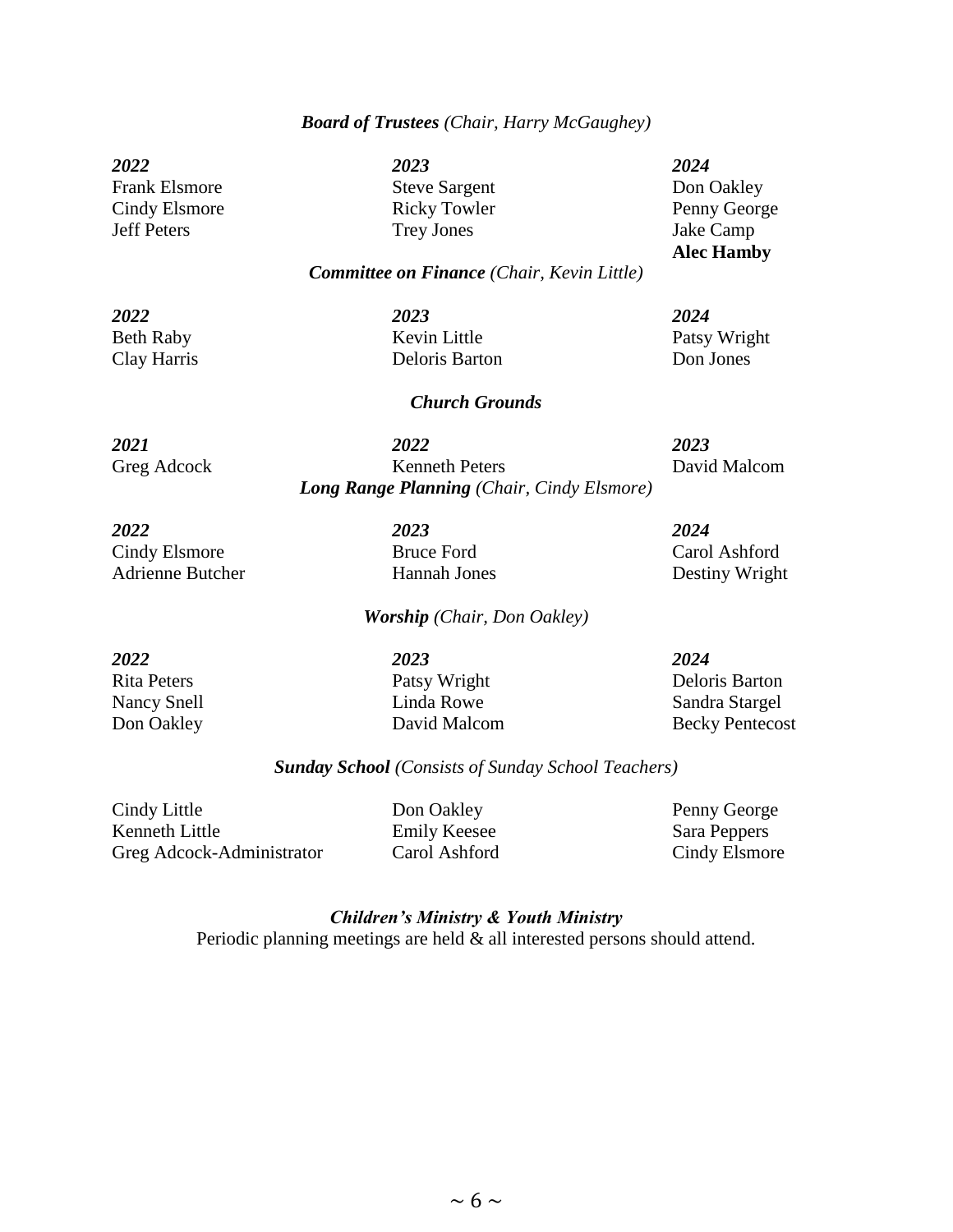#### *Board of Trustees (Chair, Harry McGaughey)*

*2022 2023 2024* Frank Elsmore Steve Sargent Don Oakley Cindy Elsmore Ricky Towler Penny George Jeff Peters Trey Jones Jake Camp

**Alec Hamby**

#### *Committee on Finance (Chair, Kevin Little)*

*2022 2023 2024* Beth Raby Kevin Little Patsy Wright Clay Harris Deloris Barton Don Jones

## *Church Grounds*

*2021 2022 2023* Greg Adcock Kenneth Peters David Malcom *Long Range Planning (Chair, Cindy Elsmore)*

*2022 2023 2024* Cindy Elsmore Bruce Ford Carol Ashford Adrienne Butcher Hannah Jones Destiny Wright

#### *Worship (Chair, Don Oakley)*

*2022 2023 2024*

Rita Peters Patsy Wright Deloris Barton Nancy Snell Linda Rowe Sandra Stargel Don Oakley David Malcom Becky Pentecost

### *Sunday School (Consists of Sunday School Teachers)*

Cindy Little **Don Oakley** Penny George Kenneth Little Emily Keesee Sara Peppers Greg Adcock-Administrator Carol Ashford Cindy Elsmore

> *Children's Ministry & Youth Ministry*  Periodic planning meetings are held & all interested persons should attend.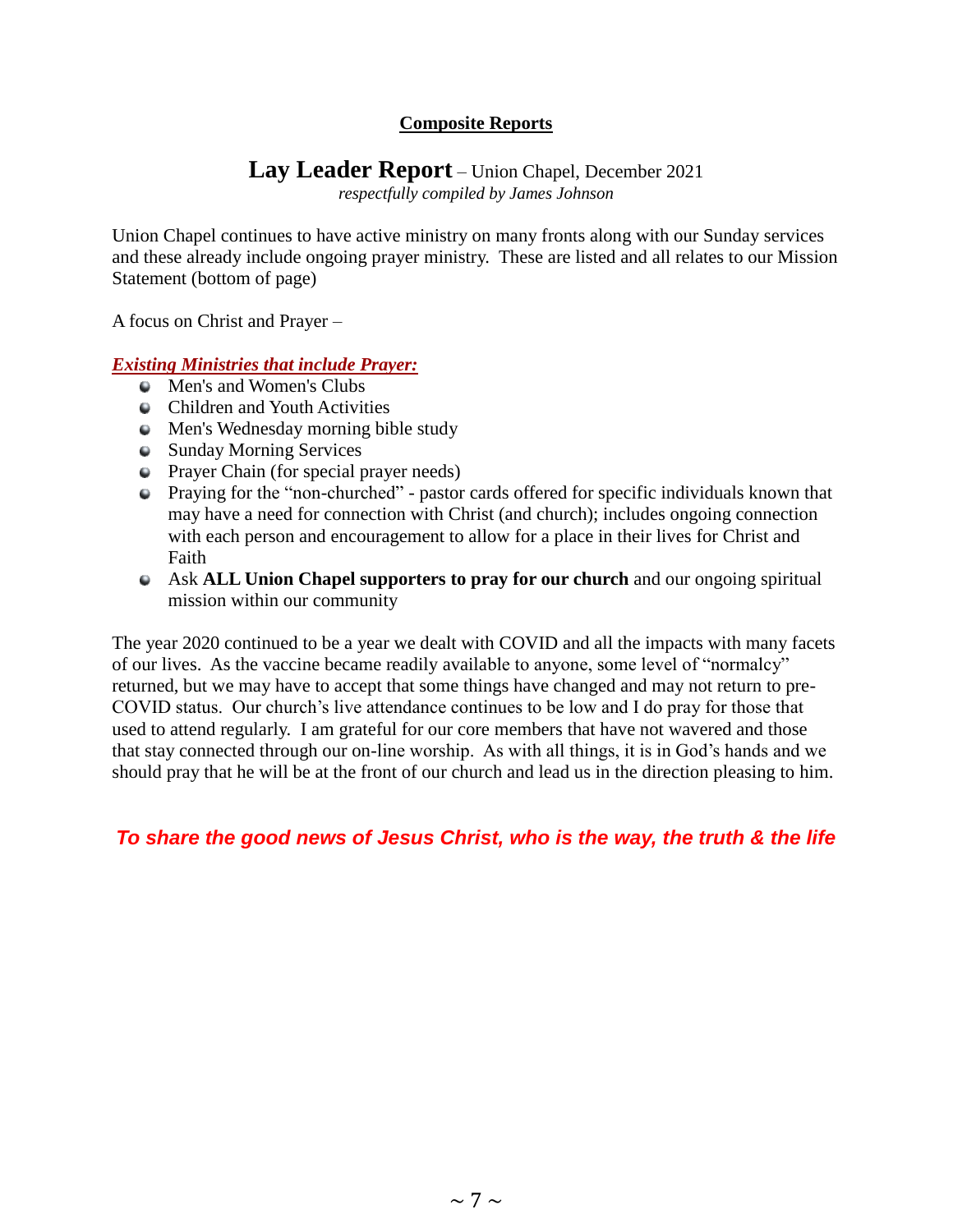# **Composite Reports**

# **Lay Leader Report** – Union Chapel, December 2021

*respectfully compiled by James Johnson*

Union Chapel continues to have active ministry on many fronts along with our Sunday services and these already include ongoing prayer ministry. These are listed and all relates to our Mission Statement (bottom of page)

A focus on Christ and Prayer –

## *Existing Ministries that include Prayer:*

- Men's and Women's Clubs
- Children and Youth Activities
- Men's Wednesday morning bible study
- Sunday Morning Services
- Prayer Chain (for special prayer needs)
- Praying for the "non-churched" pastor cards offered for specific individuals known that may have a need for connection with Christ (and church); includes ongoing connection with each person and encouragement to allow for a place in their lives for Christ and Faith
- Ask **ALL Union Chapel supporters to pray for our church** and our ongoing spiritual mission within our community

The year 2020 continued to be a year we dealt with COVID and all the impacts with many facets of our lives. As the vaccine became readily available to anyone, some level of "normalcy" returned, but we may have to accept that some things have changed and may not return to pre-COVID status. Our church's live attendance continues to be low and I do pray for those that used to attend regularly. I am grateful for our core members that have not wavered and those that stay connected through our on-line worship. As with all things, it is in God's hands and we should pray that he will be at the front of our church and lead us in the direction pleasing to him.

*To share the good news of Jesus Christ, who is the way, the truth & the life*